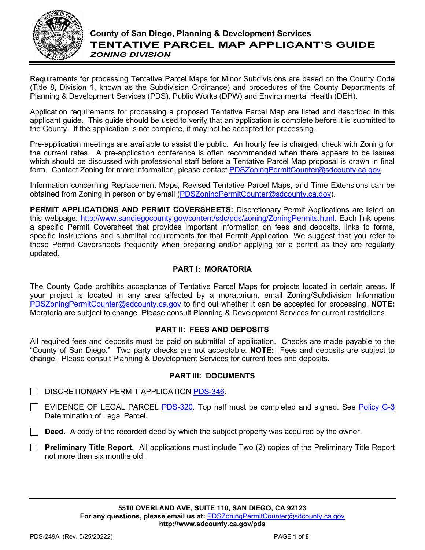

## **County of San Diego, Planning & Development Services TENTATIVE PARCEL MAP APPLICANT'S GUIDE** *ZONING DIVISION*

Requirements for processing Tentative Parcel Maps for Minor Subdivisions are based on the County Code (Title 8, Division 1, known as the Subdivision Ordinance) and procedures of the County Departments of Planning & Development Services (PDS), Public Works (DPW) and Environmental Health (DEH).

Application requirements for processing a proposed Tentative Parcel Map are listed and described in this applicant guide. This guide should be used to verify that an application is complete before it is submitted to the County. If the application is not complete, it may not be accepted for processing.

Pre-application meetings are available to assist the public. An hourly fee is charged, check with Zoning for the current rates. A pre-application conference is often recommended when there appears to be issues which should be discussed with professional staff before a Tentative Parcel Map proposal is drawn in final form. Contact Zoning for more information, please contact [PDSZoningPermitCounter@sdcounty.ca.gov.](mailto:PDSZoningPermitCounter@sdcounty.ca.gov)

Information concerning Replacement Maps, Revised Tentative Parcel Maps, and Time Extensions can be obtained from Zoning in person or by email [\(PDSZoningPermitCounter@sdcounty.ca.gov\)](mailto:PDSZoningPermitCounter@sdcounty.ca.gov).

**PERMIT APPLICATIONS AND PERMIT COVERSHEETS:** Discretionary Permit Applications are listed on this webpage: [http://www.sandiegocounty.gov/content/sdc/pds/zoning/ZoningPermits.html.](http://www.sandiegocounty.gov/content/sdc/pds/zoning/ZoningPermits.html) Each link opens a specific Permit Coversheet that provides important information on fees and deposits, links to forms, specific instructions and submittal requirements for that Permit Application. We suggest that you refer to these Permit Coversheets frequently when preparing and/or applying for a permit as they are regularly updated.

## **PART I: MORATORIA**

The County Code prohibits acceptance of Tentative Parcel Maps for projects located in certain areas. If your project is located in any area affected by a moratorium, email Zoning/Subdivision Information [PDSZoningPermitCounter@sdcounty.ca.gov](mailto:PDSZoningPermitCounter@sdcounty.ca.gov) to find out whether it can be accepted for processing. **NOTE:** Moratoria are subject to change. Please consult Planning & Development Services for current restrictions.

## **PART II: FEES AND DEPOSITS**

All required fees and deposits must be paid on submittal of application. Checks are made payable to the "County of San Diego." Two party checks are not acceptable. **NOTE:** Fees and deposits are subject to change. Please consult Planning & Development Services for current fees and deposits.

### **PART III: DOCUMENTS**

- $\Box$  DISCRETIONARY PERMIT APPLICATION [PDS-346.](http://www.sdcounty.ca.gov/pds/zoning/formfields/PDS-PLN-346.pdf)
- $\Box$  EVIDENCE OF LEGAL PARCEL [PDS-320.](http://www.sdcounty.ca.gov/pds/zoning/formfields/PDS-PLN-320.pdf) Top half must be completed and signed. See [Policy G-3](http://www.sandiegocounty.gov/content/dam/sdc/pds/zoning/formfields/POLICY-G-3.pdf) Determination of Legal Parcel.
- **Deed.** A copy of the recorded deed by which the subject property was acquired by the owner.
- **Preliminary Title Report.** All applications must include Two (2) copies of the Preliminary Title Report not more than six months old.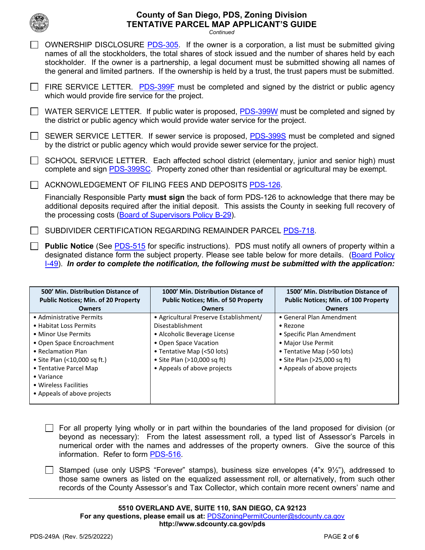

*Continued*

| 7 OWNERSHIP DISCLOSURE PDS-305. If the owner is a corporation, a list must be submitted giving             |
|------------------------------------------------------------------------------------------------------------|
| names of all the stockholders, the total shares of stock issued and the number of shares held by each      |
| stockholder. If the owner is a partnership, a legal document must be submitted showing all names of        |
| the general and limited partners. If the ownership is held by a trust, the trust papers must be submitted. |

 $\Box$  FIRE SERVICE LETTER. [PDS-399F](http://www.sdcounty.ca.gov/pds/zoning/formfields/PDS-PLN-399F.pdf) must be completed and signed by the district or public agency which would provide fire service for the project.

 $\Box$  WATER SERVICE LETTER. If public water is proposed, [PDS-399W](http://www.sdcounty.ca.gov/pds/zoning/formfields/PDS-PLN-399W.pdf) must be completed and signed by the district or public agency which would provide water service for the project.

SEWER SERVICE LETTER. If sewer service is proposed, **PDS-399S** must be completed and signed by the district or public agency which would provide sewer service for the project.

□ SCHOOL SERVICE LETTER. Each affected school district (elementary, junior and senior high) must complete and sign [PDS-399SC.](http://www.sdcounty.ca.gov/pds/zoning/formfields/PDS-PLN-399SC.pdf) Property zoned other than residential or agricultural may be exempt.

 $\Box$  ACKNOWLEDGEMENT OF FILING FEES AND DEPOSITS [PDS-126.](http://www.sdcounty.ca.gov/pds/zoning/formfields/PDS-PLN-126.pdf)

Financially Responsible Party **must sign** the back of form PDS-126 to acknowledge that there may be additional deposits required after the initial deposit. This assists the County in seeking full recovery of the processing costs [\(Board of Supervisors Policy B-29\)](http://www.sandiegocounty.gov/content/dam/sdc/cob/docs/policy/B-29.pdf).

 $\Box$  SUBDIVIDER CERTIFICATION REGARDING REMAINDER PARCEL [PDS-718.](http://www.sdcounty.ca.gov/pds/zoning/formfields/PDS-PLN-718.pdf)

**Public Notice** (See [PDS-515](http://www.sdcounty.ca.gov/pds/zoning/formfields/PDS-PLN-515.pdf) for specific instructions). PDS must notify all owners of property within a designated distance form the subject property. Please see table below for more details. (Board Policy [I-49\)](http://www.sdcounty.ca.gov/cob/docs/policy/I-49.pdf).*In order to complete the notification, the following must be submitted with the application:*

| 500' Min. Distribution Distance of<br><b>Public Notices: Min. of 20 Property</b>                                                                                                                                                                                     | 1000' Min. Distribution Distance of<br><b>Public Notices: Min. of 50 Property</b>                                                                                                                               | 1500' Min. Distribution Distance of<br><b>Public Notices: Min. of 100 Property</b>                                                                                                          |
|----------------------------------------------------------------------------------------------------------------------------------------------------------------------------------------------------------------------------------------------------------------------|-----------------------------------------------------------------------------------------------------------------------------------------------------------------------------------------------------------------|---------------------------------------------------------------------------------------------------------------------------------------------------------------------------------------------|
| <b>Owners</b>                                                                                                                                                                                                                                                        | <b>Owners</b>                                                                                                                                                                                                   | <b>Owners</b>                                                                                                                                                                               |
| • Administrative Permits<br>• Habitat Loss Permits<br>• Minor Use Permits<br>• Open Space Encroachment<br>• Reclamation Plan<br>• Site Plan (<10,000 sq ft.)<br>• Tentative Parcel Map<br>$\bullet$ Variance<br>• Wireless Facilities<br>• Appeals of above projects | • Agricultural Preserve Establishment/<br>Disestablishment<br>• Alcoholic Beverage License<br>• Open Space Vacation<br>• Tentative Map (<50 lots)<br>• Site Plan (>10,000 sq ft)<br>• Appeals of above projects | • General Plan Amendment<br>$\bullet$ Rezone<br>• Specific Plan Amendment<br>• Major Use Permit<br>• Tentative Map (>50 lots)<br>• Site Plan (>25,000 sq ft)<br>• Appeals of above projects |

 $\Box$  For all property lying wholly or in part within the boundaries of the land proposed for division (or beyond as necessary): From the latest assessment roll, a typed list of Assessor's Parcels in numerical order with the names and addresses of the property owners. Give the source of this information. Refer to form [PDS-516.](http://www.sdcounty.ca.gov/pds/zoning/formfields/PDS-PLN-516.pdf)

Stamped (use only USPS "Forever" stamps), business size envelopes  $(4"x\;9'z")$ , addressed to those same owners as listed on the equalized assessment roll, or alternatively, from such other records of the County Assessor's and Tax Collector, which contain more recent owners' name and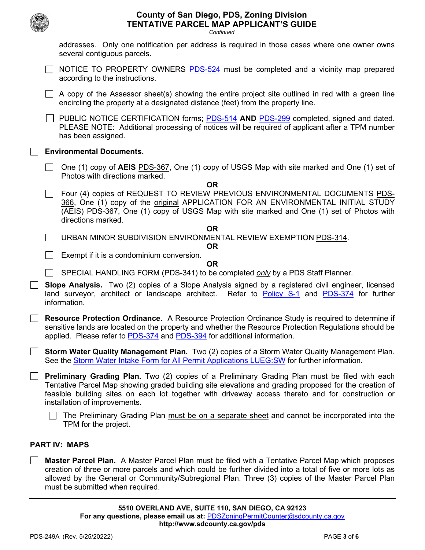|        |  | <b>County of San Diego, PDS, Zoning Division</b><br><b>TENTATIVE PARCEL MAP APPLICANT'S GUIDE</b><br>Continued                                                                                                                                                                                                                                       |
|--------|--|------------------------------------------------------------------------------------------------------------------------------------------------------------------------------------------------------------------------------------------------------------------------------------------------------------------------------------------------------|
|        |  | addresses. Only one notification per address is required in those cases where one owner owns<br>several contiguous parcels.                                                                                                                                                                                                                          |
|        |  | NOTICE TO PROPERTY OWNERS PDS-524 must be completed and a vicinity map prepared<br>according to the instructions.                                                                                                                                                                                                                                    |
|        |  | A copy of the Assessor sheet(s) showing the entire project site outlined in red with a green line<br>encircling the property at a designated distance (feet) from the property line.                                                                                                                                                                 |
|        |  | PUBLIC NOTICE CERTIFICATION forms; PDS-514 AND PDS-299 completed, signed and dated.<br>PLEASE NOTE: Additional processing of notices will be required of applicant after a TPM number<br>has been assigned.                                                                                                                                          |
|        |  | <b>Environmental Documents.</b>                                                                                                                                                                                                                                                                                                                      |
|        |  | One (1) copy of AEIS PDS-367, One (1) copy of USGS Map with site marked and One (1) set of<br>Photos with directions marked.                                                                                                                                                                                                                         |
|        |  | <b>OR</b><br>Four (4) copies of REQUEST TO REVIEW PREVIOUS ENVIRONMENTAL DOCUMENTS PDS-<br>366, One (1) copy of the original APPLICATION FOR AN ENVIRONMENTAL INITIAL STUDY<br>(AEIS) PDS-367, One (1) copy of USGS Map with site marked and One (1) set of Photos with<br>directions marked.                                                        |
|        |  | <b>OR</b><br>URBAN MINOR SUBDIVISION ENVIRONMENTAL REVIEW EXEMPTION PDS-314.<br><b>OR</b>                                                                                                                                                                                                                                                            |
|        |  | Exempt if it is a condominium conversion.<br>OR.                                                                                                                                                                                                                                                                                                     |
|        |  | SPECIAL HANDLING FORM (PDS-341) to be completed <i>only</i> by a PDS Staff Planner.                                                                                                                                                                                                                                                                  |
|        |  | Slope Analysis. Two (2) copies of a Slope Analysis signed by a registered civil engineer, licensed<br>land surveyor, architect or landscape architect. Refer to <b>Policy S-1</b> and <b>PDS-374</b> for further<br>information.                                                                                                                     |
|        |  | <b>Resource Protection Ordinance.</b> A Resource Protection Ordinance Study is required to determine if<br>sensitive lands are located on the property and whether the Resource Protection Regulations should be<br>applied. Please refer to PDS-374 and PDS-394 for additional information.                                                         |
|        |  | Storm Water Quality Management Plan. Two (2) copies of a Storm Water Quality Management Plan.<br>See the Storm Water Intake Form for All Permit Applications LUEG: SW for further information.                                                                                                                                                       |
| $\Box$ |  | <b>Preliminary Grading Plan.</b> Two (2) copies of a Preliminary Grading Plan must be filed with each<br>Tentative Parcel Map showing graded building site elevations and grading proposed for the creation of<br>feasible building sites on each lot together with driveway access thereto and for construction or<br>installation of improvements. |
|        |  | The Preliminary Grading Plan must be on a separate sheet and cannot be incorporated into the<br>TPM for the project.                                                                                                                                                                                                                                 |

### **PART IV: MAPS**

**Master Parcel Plan.** A Master Parcel Plan must be filed with a Tentative Parcel Map which proposes  $\Box$ creation of three or more parcels and which could be further divided into a total of five or more lots as allowed by the General or Community/Subregional Plan. Three (3) copies of the Master Parcel Plan must be submitted when required.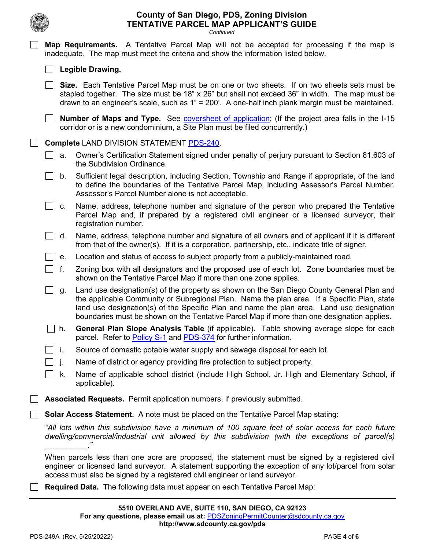*Continued*

**Map Requirements.** A Tentative Parcel Map will not be accepted for processing if the map is

|                                                  |  |                | inadequate. The map must meet the criteria and show the information listed below.                                                                                                                                                                                                                                                                                                   |
|--------------------------------------------------|--|----------------|-------------------------------------------------------------------------------------------------------------------------------------------------------------------------------------------------------------------------------------------------------------------------------------------------------------------------------------------------------------------------------------|
|                                                  |  |                | Legible Drawing.                                                                                                                                                                                                                                                                                                                                                                    |
|                                                  |  |                | Size. Each Tentative Parcel Map must be on one or two sheets. If on two sheets sets must be<br>stapled together. The size must be 18" x 26" but shall not exceed 36" in width. The map must be<br>drawn to an engineer's scale, such as 1" = 200'. A one-half inch plank margin must be maintained.                                                                                 |
|                                                  |  |                | Number of Maps and Type. See coversheet of application; (If the project area falls in the I-15<br>corridor or is a new condominium, a Site Plan must be filed concurrently.)                                                                                                                                                                                                        |
| <b>Complete LAND DIVISION STATEMENT PDS-240.</b> |  |                |                                                                                                                                                                                                                                                                                                                                                                                     |
|                                                  |  | a.             | Owner's Certification Statement signed under penalty of perjury pursuant to Section 81.603 of<br>the Subdivision Ordinance.                                                                                                                                                                                                                                                         |
|                                                  |  | b.             | Sufficient legal description, including Section, Township and Range if appropriate, of the land<br>to define the boundaries of the Tentative Parcel Map, including Assessor's Parcel Number.<br>Assessor's Parcel Number alone is not acceptable.                                                                                                                                   |
|                                                  |  | C.             | Name, address, telephone number and signature of the person who prepared the Tentative<br>Parcel Map and, if prepared by a registered civil engineer or a licensed surveyor, their<br>registration number.                                                                                                                                                                          |
|                                                  |  | d.             | Name, address, telephone number and signature of all owners and of applicant if it is different<br>from that of the owner(s). If it is a corporation, partnership, etc., indicate title of signer.                                                                                                                                                                                  |
|                                                  |  | е.             | Location and status of access to subject property from a publicly-maintained road.                                                                                                                                                                                                                                                                                                  |
|                                                  |  | f.             | Zoning box with all designators and the proposed use of each lot. Zone boundaries must be<br>shown on the Tentative Parcel Map if more than one zone applies.                                                                                                                                                                                                                       |
|                                                  |  | g.             | Land use designation(s) of the property as shown on the San Diego County General Plan and<br>the applicable Community or Subregional Plan. Name the plan area. If a Specific Plan, state<br>land use designation(s) of the Specific Plan and name the plan area. Land use designation<br>boundaries must be shown on the Tentative Parcel Map if more than one designation applies. |
|                                                  |  | $\sqsupset$ h. | General Plan Slope Analysis Table (if applicable). Table showing average slope for each<br>parcel. Refer to <b>Policy S-1</b> and <b>PDS-374</b> for further information.                                                                                                                                                                                                           |
|                                                  |  | - i.           | Source of domestic potable water supply and sewage disposal for each lot.                                                                                                                                                                                                                                                                                                           |
|                                                  |  |                | Name of district or agency providing fire protection to subject property.                                                                                                                                                                                                                                                                                                           |
|                                                  |  | k.             | Name of applicable school district (include High School, Jr. High and Elementary School, if<br>applicable).                                                                                                                                                                                                                                                                         |
|                                                  |  |                | Associated Requests. Permit application numbers, if previously submitted.                                                                                                                                                                                                                                                                                                           |
|                                                  |  |                | <b>Solar Access Statement.</b> A note must be placed on the Tentative Parcel Map stating:                                                                                                                                                                                                                                                                                           |
|                                                  |  |                | "All lots within this subdivision have a minimum of 100 square feet of solar access for each future<br>dwelling/commercial/industrial unit allowed by this subdivision (with the exceptions of parcel(s)                                                                                                                                                                            |
|                                                  |  |                | When parcels less than one acre are proposed, the statement must be signed by a registered civil<br>engineer or licensed land surveyor. A statement supporting the exception of any lot/parcel from solar<br>access must also be signed by a registered civil engineer or land surveyor.                                                                                            |
|                                                  |  |                | <b>Required Data.</b> The following data must appear on each Tentative Parcel Map:                                                                                                                                                                                                                                                                                                  |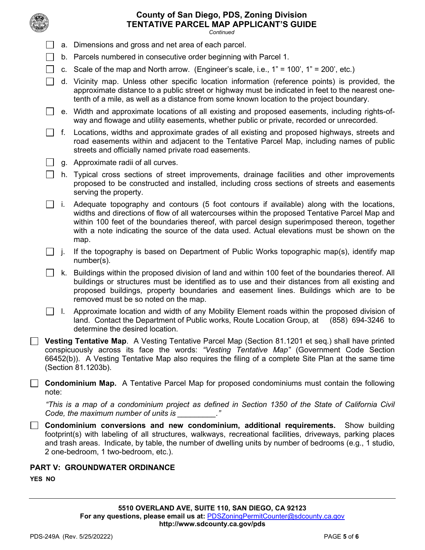

|                                                                                                                                                                                                                                                                                                                                                              | <b>TENTATIVE PARCEL MAP APPLICANT'S GUIDE</b><br>Continued                                                                                            |                                                                                                                                                                                                                                                                                                                                                                                                   |  |  |  |  |
|--------------------------------------------------------------------------------------------------------------------------------------------------------------------------------------------------------------------------------------------------------------------------------------------------------------------------------------------------------------|-------------------------------------------------------------------------------------------------------------------------------------------------------|---------------------------------------------------------------------------------------------------------------------------------------------------------------------------------------------------------------------------------------------------------------------------------------------------------------------------------------------------------------------------------------------------|--|--|--|--|
|                                                                                                                                                                                                                                                                                                                                                              |                                                                                                                                                       | a. Dimensions and gross and net area of each parcel.                                                                                                                                                                                                                                                                                                                                              |  |  |  |  |
|                                                                                                                                                                                                                                                                                                                                                              |                                                                                                                                                       | b. Parcels numbered in consecutive order beginning with Parcel 1.                                                                                                                                                                                                                                                                                                                                 |  |  |  |  |
|                                                                                                                                                                                                                                                                                                                                                              |                                                                                                                                                       | c. Scale of the map and North arrow. (Engineer's scale, i.e., $1" = 100'$ , $1" = 200'$ , etc.)                                                                                                                                                                                                                                                                                                   |  |  |  |  |
|                                                                                                                                                                                                                                                                                                                                                              |                                                                                                                                                       | d. Vicinity map. Unless other specific location information (reference points) is provided, the<br>approximate distance to a public street or highway must be indicated in feet to the nearest one-<br>tenth of a mile, as well as a distance from some known location to the project boundary.                                                                                                   |  |  |  |  |
|                                                                                                                                                                                                                                                                                                                                                              |                                                                                                                                                       | e. Width and approximate locations of all existing and proposed easements, including rights-of-<br>way and flowage and utility easements, whether public or private, recorded or unrecorded.                                                                                                                                                                                                      |  |  |  |  |
|                                                                                                                                                                                                                                                                                                                                                              | f.                                                                                                                                                    | Locations, widths and approximate grades of all existing and proposed highways, streets and<br>road easements within and adjacent to the Tentative Parcel Map, including names of public<br>streets and officially named private road easements.                                                                                                                                                  |  |  |  |  |
|                                                                                                                                                                                                                                                                                                                                                              |                                                                                                                                                       | g. Approximate radii of all curves.                                                                                                                                                                                                                                                                                                                                                               |  |  |  |  |
|                                                                                                                                                                                                                                                                                                                                                              |                                                                                                                                                       | h. Typical cross sections of street improvements, drainage facilities and other improvements<br>proposed to be constructed and installed, including cross sections of streets and easements<br>serving the property.                                                                                                                                                                              |  |  |  |  |
|                                                                                                                                                                                                                                                                                                                                                              | i.                                                                                                                                                    | Adequate topography and contours (5 foot contours if available) along with the locations,<br>widths and directions of flow of all watercourses within the proposed Tentative Parcel Map and<br>within 100 feet of the boundaries thereof, with parcel design superimposed thereon, together<br>with a note indicating the source of the data used. Actual elevations must be shown on the<br>map. |  |  |  |  |
|                                                                                                                                                                                                                                                                                                                                                              | j.                                                                                                                                                    | If the topography is based on Department of Public Works topographic map(s), identify map<br>$number(s)$ .                                                                                                                                                                                                                                                                                        |  |  |  |  |
|                                                                                                                                                                                                                                                                                                                                                              | k.                                                                                                                                                    | Buildings within the proposed division of land and within 100 feet of the boundaries thereof. All<br>buildings or structures must be identified as to use and their distances from all existing and<br>proposed buildings, property boundaries and easement lines. Buildings which are to be<br>removed must be so noted on the map.                                                              |  |  |  |  |
|                                                                                                                                                                                                                                                                                                                                                              | Ι.                                                                                                                                                    | Approximate location and width of any Mobility Element roads within the proposed division of<br>land. Contact the Department of Public works, Route Location Group, at<br>(858) 694-3246 to<br>determine the desired location.                                                                                                                                                                    |  |  |  |  |
|                                                                                                                                                                                                                                                                                                                                                              |                                                                                                                                                       | Vesting Tentative Map. A Vesting Tentative Parcel Map (Section 81.1201 et seq.) shall have printed<br>conspicuously across its face the words: "Vesting Tentative Map" (Government Code Section<br>66452(b)). A Vesting Tentative Map also requires the filing of a complete Site Plan at the same time<br>(Section 81.1203b).                                                                    |  |  |  |  |
| note:                                                                                                                                                                                                                                                                                                                                                        |                                                                                                                                                       | <b>Condominium Map.</b> A Tentative Parcel Map for proposed condominiums must contain the following                                                                                                                                                                                                                                                                                               |  |  |  |  |
|                                                                                                                                                                                                                                                                                                                                                              | "This is a map of a condominium project as defined in Section 1350 of the State of California Civil<br>Code, the maximum number of units is $\cdot$ " |                                                                                                                                                                                                                                                                                                                                                                                                   |  |  |  |  |
| <b>Condominium conversions and new condominium, additional requirements.</b> Show building<br>footprint(s) with labeling of all structures, walkways, recreational facilities, driveways, parking places<br>and trash areas. Indicate, by table, the number of dwelling units by number of bedrooms (e.g., 1 studio,<br>2 one-bedroom, 1 two-bedroom, etc.). |                                                                                                                                                       |                                                                                                                                                                                                                                                                                                                                                                                                   |  |  |  |  |

**PART V: GROUNDWATER ORDINANCE**

**YES NO**

 $\Box$ 

 $\Box$ 

 $\Box$